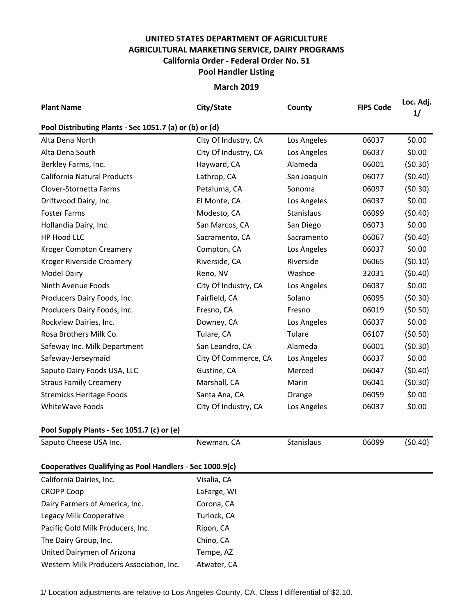## **UNITED STATES DEPARTMENT OF AGRICULTURE AGRICULTURAL MARKETING SERVICE, DAIRY PROGRAMS Pool Handler Listing California Order - Federal Order No. 51**

**March 2019**

| <b>Plant Name</b>                                        | City/State           | County      | <b>FIPS Code</b> | Loc. Adj.<br>1/ |
|----------------------------------------------------------|----------------------|-------------|------------------|-----------------|
| Pool Distributing Plants - Sec 1051.7 (a) or (b) or (d)  |                      |             |                  |                 |
| Alta Dena North                                          | City Of Industry, CA | Los Angeles | 06037            | \$0.00          |
| Alta Dena South                                          | City Of Industry, CA | Los Angeles | 06037            | \$0.00          |
| Berkley Farms, Inc.                                      | Hayward, CA          | Alameda     | 06001            | (50.30)         |
| California Natural Products                              | Lathrop, CA          | San Joaquin | 06077            | (50.40)         |
| Clover-Stornetta Farms                                   | Petaluma, CA         | Sonoma      | 06097            | (50.30)         |
| Driftwood Dairy, Inc.                                    | El Monte, CA         | Los Angeles | 06037            | \$0.00          |
| <b>Foster Farms</b>                                      | Modesto, CA          | Stanislaus  | 06099            | (50.40)         |
| Hollandia Dairy, Inc.                                    | San Marcos, CA       | San Diego   | 06073            | \$0.00          |
| HP Hood LLC                                              | Sacramento, CA       | Sacramento  | 06067            | (50.40)         |
| <b>Kroger Compton Creamery</b>                           | Compton, CA          | Los Angeles | 06037            | \$0.00          |
| Kroger Riverside Creamery                                | Riverside, CA        | Riverside   | 06065            | (50.10)         |
| <b>Model Dairy</b>                                       | Reno, NV             | Washoe      | 32031            | (50.40)         |
| Ninth Avenue Foods                                       | City Of Industry, CA | Los Angeles | 06037            | \$0.00          |
| Producers Dairy Foods, Inc.                              | Fairfield, CA        | Solano      | 06095            | (50.30)         |
| Producers Dairy Foods, Inc.                              | Fresno, CA           | Fresno      | 06019            | (50.50)         |
| Rockview Dairies, Inc.                                   | Downey, CA           | Los Angeles | 06037            | \$0.00          |
| Rosa Brothers Milk Co.                                   | Tulare, CA           | Tulare      | 06107            | (50.50)         |
| Safeway Inc. Milk Department                             | San Leandro, CA      | Alameda     | 06001            | (50.30)         |
| Safeway-Jerseymaid                                       | City Of Commerce, CA | Los Angeles | 06037            | \$0.00          |
| Saputo Dairy Foods USA, LLC                              | Gustine, CA          | Merced      | 06047            | (50.40)         |
| <b>Straus Family Creamery</b>                            | Marshall, CA         | Marin       | 06041            | (50.30)         |
| <b>Stremicks Heritage Foods</b>                          | Santa Ana, CA        | Orange      | 06059            | \$0.00          |
| WhiteWave Foods                                          | City Of Industry, CA | Los Angeles | 06037            | \$0.00          |
| Pool Supply Plants - Sec 1051.7 (c) or (e)               |                      |             |                  |                 |
| Saputo Cheese USA Inc.                                   | Newman, CA           | Stanislaus  | 06099            | (50.40)         |
| Cooperatives Qualifying as Pool Handlers - Sec 1000.9(c) |                      |             |                  |                 |
| California Dairies, Inc.                                 | Visalia, CA          |             |                  |                 |
| <b>CROPP Coop</b>                                        | LaFarge, WI          |             |                  |                 |
| Dairy Farmers of America, Inc.                           | Corona, CA           |             |                  |                 |
| Legacy Milk Cooperative                                  | Turlock, CA          |             |                  |                 |
| Pacific Gold Milk Producers, Inc.                        | Ripon, CA            |             |                  |                 |
| The Dairy Group, Inc.                                    | Chino, CA            |             |                  |                 |
| United Dairymen of Arizona                               | Tempe, AZ            |             |                  |                 |
| Western Milk Producers Association, Inc.                 | Atwater, CA          |             |                  |                 |

1/ Location adjustments are relative to Los Angeles County, CA, Class I differential of \$2.10.